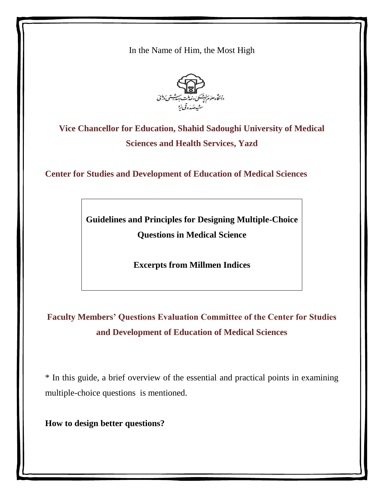In the Name of Him, the Most High



**Vice Chancellor for Education, Shahid Sadoughi University of Medical Sciences and Health Services, Yazd**

**Center for Studies and Development of Education of Medical Sciences**

**Guidelines and Principles for Designing Multiple-Choice Questions in Medical Science**

**Excerpts from Millmen Indices**

**Faculty Members' Questions Evaluation Committee of the Center for Studies and Development of Education of Medical Sciences**

\* In this guide, a brief overview of the essential and practical points in examining multiple-choice questions is mentioned.

**How to design better questions?**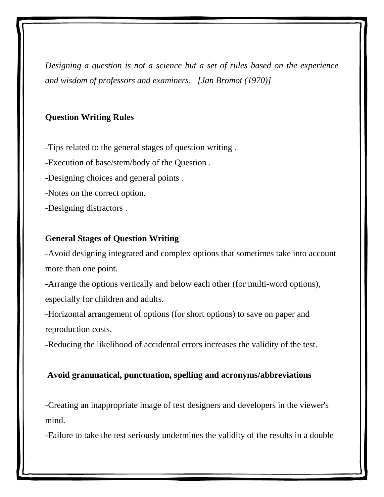*Designing a question is not a science but a set of rules based on the experience and wisdom of professors and examiners. [Jan Bromot (1970)]*

#### **Question Writing Rules**

-Tips related to the general stages of question writing . -Execution of base/stem/body of the Question . -Designing choices and general points . -Notes on the correct option. -Designing distractors .

### **General Stages of Question Writing**

-Avoid designing integrated and complex options that sometimes take into account more than one point.

-Arrange the options vertically and below each other (for multi-word options), especially for children and adults.

-Horizontal arrangement of options (for short options) to save on paper and reproduction costs.

-Reducing the likelihood of accidental errors increases the validity of the test.

#### **Avoid grammatical, punctuation, spelling and acronyms/abbreviations**

-Creating an inappropriate image of test designers and developers in the viewer's mind.

-Failure to take the test seriously undermines the validity of the results in a double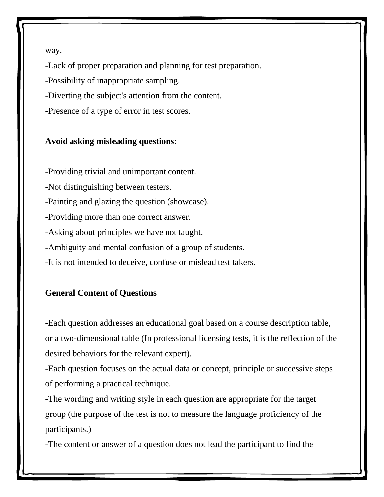way.

-Lack of proper preparation and planning for test preparation.

-Possibility of inappropriate sampling.

-Diverting the subject's attention from the content.

-Presence of a type of error in test scores.

## **Avoid asking misleading questions:**

-Providing trivial and unimportant content.

-Not distinguishing between testers.

-Painting and glazing the question (showcase).

-Providing more than one correct answer.

-Asking about principles we have not taught.

-Ambiguity and mental confusion of a group of students.

-It is not intended to deceive, confuse or mislead test takers.

# **General Content of Questions**

-Each question addresses an educational goal based on a course description table, or a two-dimensional table (In professional licensing tests, it is the reflection of the desired behaviors for the relevant expert).

-Each question focuses on the actual data or concept, principle or successive steps of performing a practical technique.

-The wording and writing style in each question are appropriate for the target group (the purpose of the test is not to measure the language proficiency of the participants.)

-The content or answer of a question does not lead the participant to find the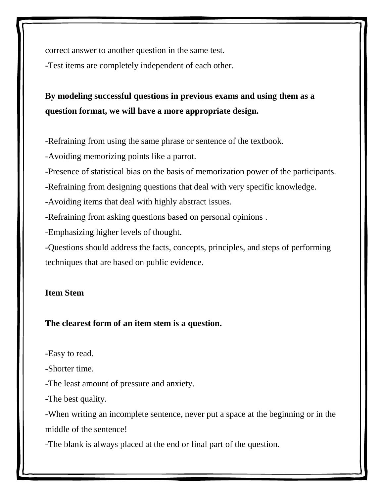correct answer to another question in the same test.

-Test items are completely independent of each other.

# **By modeling successful questions in previous exams and using them as a question format, we will have a more appropriate design.**

-Refraining from using the same phrase or sentence of the textbook.

-Avoiding memorizing points like a parrot.

-Presence of statistical bias on the basis of memorization power of the participants.

-Refraining from designing questions that deal with very specific knowledge.

-Avoiding items that deal with highly abstract issues.

-Refraining from asking questions based on personal opinions .

-Emphasizing higher levels of thought.

-Questions should address the facts, concepts, principles, and steps of performing techniques that are based on public evidence.

# **Item Stem**

# **The clearest form of an item stem is a question.**

-Easy to read.

-Shorter time.

-The least amount of pressure and anxiety.

-The best quality.

-When writing an incomplete sentence, never put a space at the beginning or in the middle of the sentence!

-The blank is always placed at the end or final part of the question.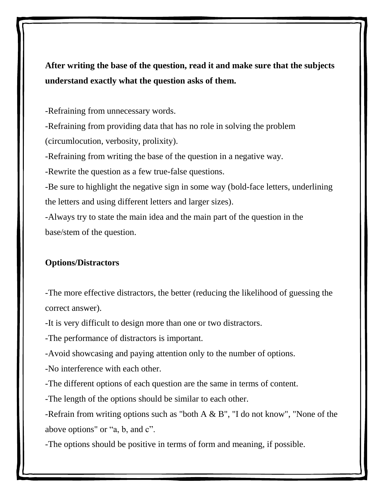**After writing the base of the question, read it and make sure that the subjects understand exactly what the question asks of them.**

-Refraining from unnecessary words.

-Refraining from providing data that has no role in solving the problem (circumlocution, verbosity, prolixity).

-Refraining from writing the base of the question in a negative way.

-Rewrite the question as a few true-false questions.

-Be sure to highlight the negative sign in some way (bold-face letters, underlining the letters and using different letters and larger sizes).

-Always try to state the main idea and the main part of the question in the base/stem of the question.

#### **Options/Distractors**

-The more effective distractors, the better (reducing the likelihood of guessing the correct answer).

-It is very difficult to design more than one or two distractors.

-The performance of distractors is important.

-Avoid showcasing and paying attention only to the number of options.

-No interference with each other.

-The different options of each question are the same in terms of content.

-The length of the options should be similar to each other.

-Refrain from writing options such as "both A & B", "I do not know", "None of the above options" or "a, b, and c".

-The options should be positive in terms of form and meaning, if possible.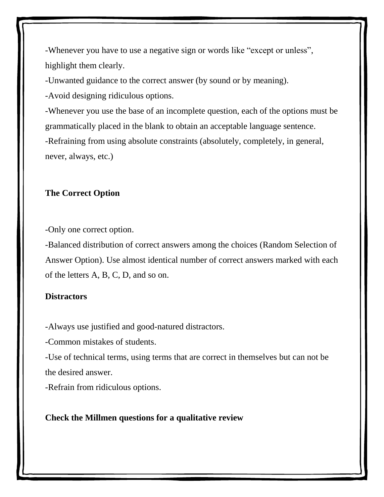-Whenever you have to use a negative sign or words like "except or unless", highlight them clearly.

-Unwanted guidance to the correct answer (by sound or by meaning).

-Avoid designing ridiculous options.

-Whenever you use the base of an incomplete question, each of the options must be grammatically placed in the blank to obtain an acceptable language sentence. -Refraining from using absolute constraints (absolutely, completely, in general, never, always, etc.)

### **The Correct Option**

-Only one correct option.

-Balanced distribution of correct answers among the choices (Random Selection of Answer Option). Use almost identical number of correct answers marked with each of the letters A, B, C, D, and so on.

#### **Distractors**

-Always use justified and good-natured distractors.

-Common mistakes of students.

-Use of technical terms, using terms that are correct in themselves but can not be the desired answer.

-Refrain from ridiculous options.

#### **Check the Millmen questions for a qualitative review**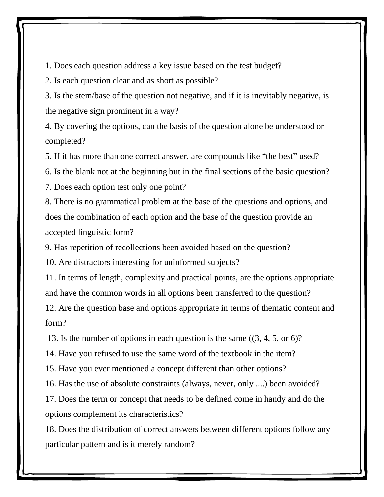1. Does each question address a key issue based on the test budget?

2. Is each question clear and as short as possible?

3. Is the stem/base of the question not negative, and if it is inevitably negative, is the negative sign prominent in a way?

4. By covering the options, can the basis of the question alone be understood or completed?

5. If it has more than one correct answer, are compounds like "the best" used?

6. Is the blank not at the beginning but in the final sections of the basic question?

7. Does each option test only one point?

8. There is no grammatical problem at the base of the questions and options, and does the combination of each option and the base of the question provide an accepted linguistic form?

9. Has repetition of recollections been avoided based on the question?

10. Are distractors interesting for uninformed subjects?

11. In terms of length, complexity and practical points, are the options appropriate and have the common words in all options been transferred to the question?

12. Are the question base and options appropriate in terms of thematic content and form?

13. Is the number of options in each question is the same ((3, 4, 5, or 6)?

14. Have you refused to use the same word of the textbook in the item?

15. Have you ever mentioned a concept different than other options?

16. Has the use of absolute constraints (always, never, only ....) been avoided?

17. Does the term or concept that needs to be defined come in handy and do the options complement its characteristics?

18. Does the distribution of correct answers between different options follow any particular pattern and is it merely random?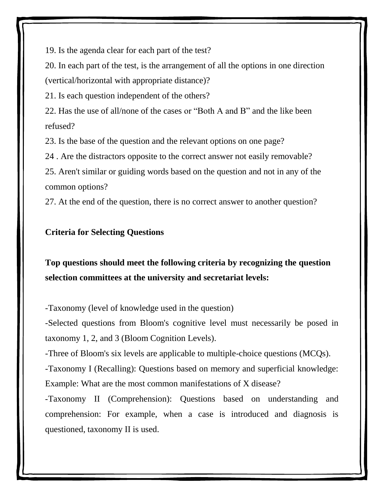19. Is the agenda clear for each part of the test?

20. In each part of the test, is the arrangement of all the options in one direction (vertical/horizontal with appropriate distance)?

21. Is each question independent of the others?

22. Has the use of all/none of the cases or "Both A and B" and the like been refused?

23. Is the base of the question and the relevant options on one page?

24 . Are the distractors opposite to the correct answer not easily removable?

25. Aren't similar or guiding words based on the question and not in any of the common options?

27. At the end of the question, there is no correct answer to another question?

# **Criteria for Selecting Questions**

**Top questions should meet the following criteria by recognizing the question selection committees at the university and secretariat levels:**

-Taxonomy (level of knowledge used in the question)

-Selected questions from Bloom's cognitive level must necessarily be posed in taxonomy 1, 2, and 3 (Bloom Cognition Levels).

-Three of Bloom's six levels are applicable to multiple-choice questions (MCQs).

-Taxonomy I (Recalling): Questions based on memory and superficial knowledge: Example: What are the most common manifestations of X disease?

-Taxonomy II (Comprehension): Questions based on understanding and comprehension: For example, when a case is introduced and diagnosis is questioned, taxonomy II is used.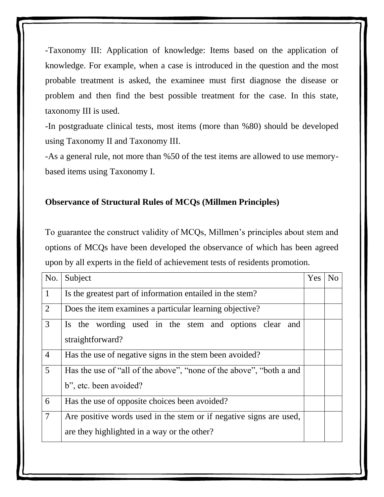-Taxonomy III: Application of knowledge: Items based on the application of knowledge. For example, when a case is introduced in the question and the most probable treatment is asked, the examinee must first diagnose the disease or problem and then find the best possible treatment for the case. In this state, taxonomy III is used.

-In postgraduate clinical tests, most items (more than %80) should be developed using Taxonomy II and Taxonomy III.

-As a general rule, not more than %50 of the test items are allowed to use memorybased items using Taxonomy I.

#### **Observance of Structural Rules of MCQs (Millmen Principles)**

To guarantee the construct validity of MCQs, Millmen's principles about stem and options of MCQs have been developed the observance of which has been agreed upon by all experts in the field of achievement tests of residents promotion.

| No.             | Subject                                                                                                           | Yes | N <sub>0</sub> |
|-----------------|-------------------------------------------------------------------------------------------------------------------|-----|----------------|
| $\mathbf{1}$    | Is the greatest part of information entailed in the stem?                                                         |     |                |
| 2               | Does the item examines a particular learning objective?                                                           |     |                |
| $\overline{3}$  | Is the wording used in the stem and options clear and<br>straightforward?                                         |     |                |
| $\overline{4}$  | Has the use of negative signs in the stem been avoided?                                                           |     |                |
| $5\overline{)}$ | Has the use of "all of the above", "none of the above", "both a and<br>b", etc. been avoided?                     |     |                |
| 6               | Has the use of opposite choices been avoided?                                                                     |     |                |
| $\overline{7}$  | Are positive words used in the stem or if negative signs are used,<br>are they highlighted in a way or the other? |     |                |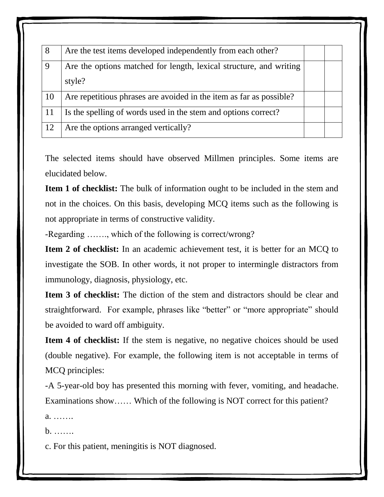| 8  | Are the test items developed independently from each other?         |  |
|----|---------------------------------------------------------------------|--|
| 9  | Are the options matched for length, lexical structure, and writing  |  |
|    | style?                                                              |  |
| 10 | Are repetitious phrases are avoided in the item as far as possible? |  |
| 11 | Is the spelling of words used in the stem and options correct?      |  |
| 12 | Are the options arranged vertically?                                |  |

The selected items should have observed Millmen principles. Some items are elucidated below.

**Item 1 of checklist:** The bulk of information ought to be included in the stem and not in the choices. On this basis, developing MCQ items such as the following is not appropriate in terms of constructive validity.

-Regarding ……., which of the following is correct/wrong?

**Item 2 of checklist:** In an academic achievement test, it is better for an MCQ to investigate the SOB. In other words, it not proper to intermingle distractors from immunology, diagnosis, physiology, etc.

**Item 3 of checklist:** The diction of the stem and distractors should be clear and straightforward. For example, phrases like "better" or "more appropriate" should be avoided to ward off ambiguity.

**Item 4 of checklist:** If the stem is negative, no negative choices should be used (double negative). For example, the following item is not acceptable in terms of MCQ principles:

-A 5-year-old boy has presented this morning with fever, vomiting, and headache. Examinations show…… Which of the following is NOT correct for this patient?

a. …….

b. …….

c. For this patient, meningitis is NOT diagnosed.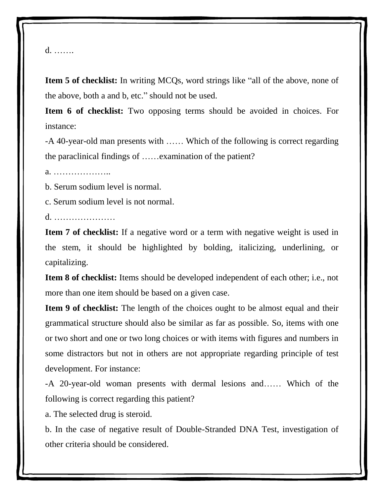#### d. …….

**Item 5 of checklist:** In writing MCQs, word strings like "all of the above, none of the above, both a and b, etc." should not be used.

**Item 6 of checklist:** Two opposing terms should be avoided in choices. For instance:

-A 40-year-old man presents with …… Which of the following is correct regarding the paraclinical findings of ……examination of the patient?

a. ………………..

b. Serum sodium level is normal.

c. Serum sodium level is not normal.

d. …………………

**Item 7 of checklist:** If a negative word or a term with negative weight is used in the stem, it should be highlighted by bolding, italicizing, underlining, or capitalizing.

**Item 8 of checklist:** Items should be developed independent of each other; i.e., not more than one item should be based on a given case.

**Item 9 of checklist:** The length of the choices ought to be almost equal and their grammatical structure should also be similar as far as possible. So, items with one or two short and one or two long choices or with items with figures and numbers in some distractors but not in others are not appropriate regarding principle of test development. For instance:

-A 20-year-old woman presents with dermal lesions and…… Which of the following is correct regarding this patient?

a. The selected drug is steroid.

b. In the case of negative result of Double-Stranded DNA Test, investigation of other criteria should be considered.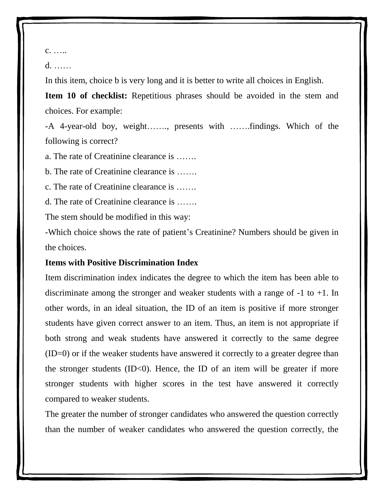c. …..

d. ……

In this item, choice b is very long and it is better to write all choices in English.

**Item 10 of checklist:** Repetitious phrases should be avoided in the stem and choices. For example:

-A 4-year-old boy, weight……., presents with …….findings. Which of the following is correct?

a. The rate of Creatinine clearance is …….

b. The rate of Creatinine clearance is …….

c. The rate of Creatinine clearance is …….

d. The rate of Creatinine clearance is …….

The stem should be modified in this way:

-Which choice shows the rate of patient's Creatinine? Numbers should be given in the choices.

#### **Items with Positive Discrimination Index**

Item discrimination index indicates the degree to which the item has been able to discriminate among the stronger and weaker students with a range of -1 to +1. In other words, in an ideal situation, the ID of an item is positive if more stronger students have given correct answer to an item. Thus, an item is not appropriate if both strong and weak students have answered it correctly to the same degree (ID=0) or if the weaker students have answered it correctly to a greater degree than the stronger students  $(ID<0)$ . Hence, the ID of an item will be greater if more stronger students with higher scores in the test have answered it correctly compared to weaker students.

The greater the number of stronger candidates who answered the question correctly than the number of weaker candidates who answered the question correctly, the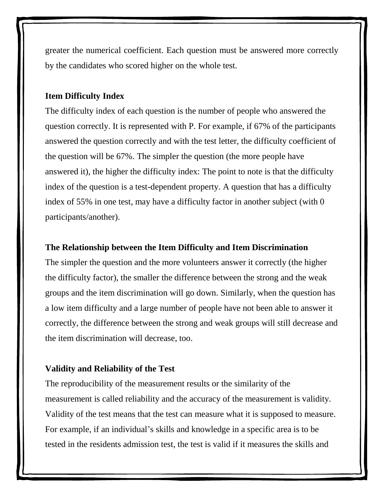greater the numerical coefficient. Each question must be answered more correctly by the candidates who scored higher on the whole test.

#### **Item Difficulty Index**

The difficulty index of each question is the number of people who answered the question correctly. It is represented with P. For example, if 67% of the participants answered the question correctly and with the test letter, the difficulty coefficient of the question will be 67%. The simpler the question (the more people have answered it), the higher the difficulty index: The point to note is that the difficulty index of the question is a test-dependent property. A question that has a difficulty index of 55% in one test, may have a difficulty factor in another subject (with 0 participants/another).

#### **The Relationship between the Item Difficulty and Item Discrimination**

The simpler the question and the more volunteers answer it correctly (the higher the difficulty factor), the smaller the difference between the strong and the weak groups and the item discrimination will go down. Similarly, when the question has a low item difficulty and a large number of people have not been able to answer it correctly, the difference between the strong and weak groups will still decrease and the item discrimination will decrease, too.

#### **Validity and Reliability of the Test**

The reproducibility of the measurement results or the similarity of the measurement is called reliability and the accuracy of the measurement is validity. Validity of the test means that the test can measure what it is supposed to measure. For example, if an individual's skills and knowledge in a specific area is to be tested in the residents admission test, the test is valid if it measures the skills and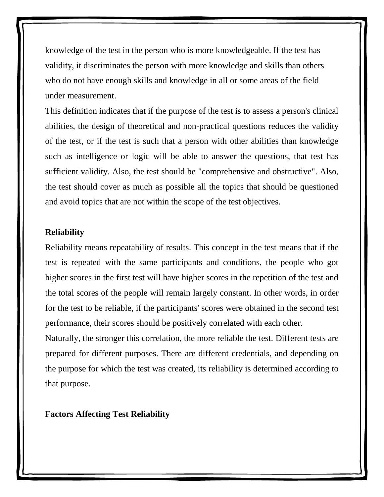knowledge of the test in the person who is more knowledgeable. If the test has validity, it discriminates the person with more knowledge and skills than others who do not have enough skills and knowledge in all or some areas of the field under measurement.

This definition indicates that if the purpose of the test is to assess a person's clinical abilities, the design of theoretical and non-practical questions reduces the validity of the test, or if the test is such that a person with other abilities than knowledge such as intelligence or logic will be able to answer the questions, that test has sufficient validity. Also, the test should be "comprehensive and obstructive". Also, the test should cover as much as possible all the topics that should be questioned and avoid topics that are not within the scope of the test objectives.

#### **Reliability**

Reliability means repeatability of results. This concept in the test means that if the test is repeated with the same participants and conditions, the people who got higher scores in the first test will have higher scores in the repetition of the test and the total scores of the people will remain largely constant. In other words, in order for the test to be reliable, if the participants' scores were obtained in the second test performance, their scores should be positively correlated with each other.

Naturally, the stronger this correlation, the more reliable the test. Different tests are prepared for different purposes. There are different credentials, and depending on the purpose for which the test was created, its reliability is determined according to that purpose.

**Factors Affecting Test Reliability**